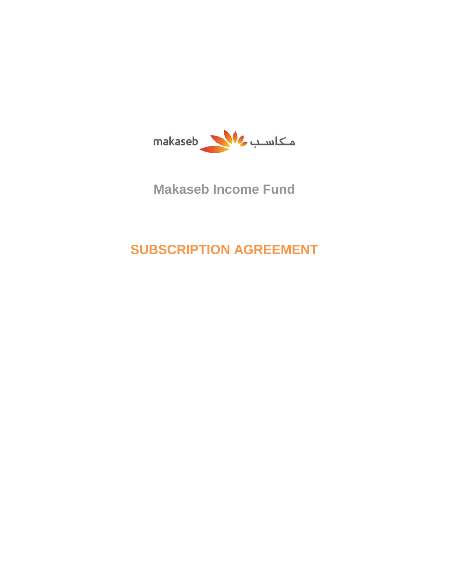

# **Makaseb Income Fund**

# **SUBSCRIPTION AGREEMENT**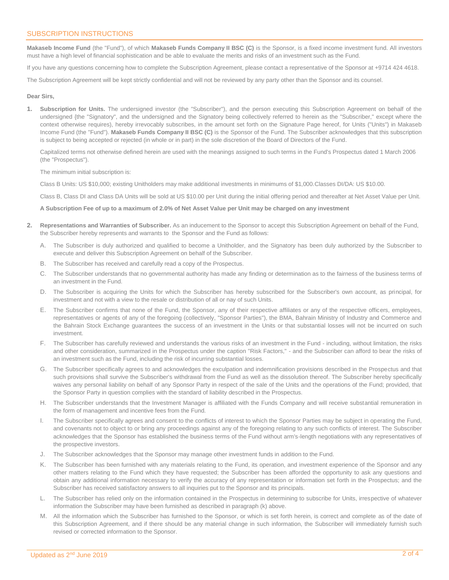## SUBSCRIPTION INSTRUCTIONS

**Makaseb Income Fund** (the "Fund"), of which **Makaseb Funds Company II BSC (C)** is the Sponsor, is a fixed income investment fund. All investors must have a high level of financial sophistication and be able to evaluate the merits and risks of an investment such as the Fund.

If you have any questions concerning how to complete the Subscription Agreement, please contact a representative of the Sponsor at +9714 424 4618.

The Subscription Agreement will be kept strictly confidential and will not be reviewed by any party other than the Sponsor and its counsel.

### **Dear Sirs,**

**1. Subscription for Units.** The undersigned investor (the "Subscriber"), and the person executing this Subscription Agreement on behalf of the undersigned {the "Signatory", and the undersigned and the Signatory being collectively referred to herein as the "Subscriber," except where the context otherwise requires), hereby irrevocably subscribes, in the amount set forth on the Signature Page hereof, for Units ("Units") in Makaseb Income Fund (the "Fund"). **Makaseb Funds Company II BSC (C)** is the Sponsor of the Fund. The Subscriber acknowledges that this subscription is subject to being accepted or rejected (in whole or in part) in the sole discretion of the Board of Directors of the Fund.

Capitalized terms not otherwise defined herein are used with the meanings assigned to such terms in the Fund's Prospectus dated 1 March 2006 (the "Prospectus").

The minimum initial subscription is:

Class B Units: US \$10,000; existing Unitholders may make additional investments in minimums of \$1,000.Classes DI/DA: US \$10.00.

Class B, Class DI and Class DA Units will be sold at US \$10.00 per Unit during the initial offering period and thereafter at Net Asset Value per Unit.

### **A Subscription Fee of up to a maximum of 2.0% of Net Asset Value per Unit may be charged on any investment**

- **2. Representations and Warranties of Subscriber.** As an inducement to the Sponsor to accept this Subscription Agreement on behalf of the Fund, the Subscriber hereby represents and warrants to the Sponsor and the Fund as follows:
	- A. The Subscriber is duly authorized and qualified to become a Unitholder, and the Signatory has been duly authorized by the Subscriber to execute and deliver this Subscription Agreement on behalf of the Subscriber.
	- B. The Subscriber has received and carefully read a copy of the Prospectus.
	- C. The Subscriber understands that no governmental authority has made any finding or determination as to the fairness of the business terms of an investment in the Fund.
	- D. The Subscriber is acquiring the Units for which the Subscriber has hereby subscribed for the Subscriber's own account, as principal, for investment and not with a view to the resale or distribution of all or nay of such Units.
	- E. The Subscriber confirms that none of the Fund, the Sponsor, any of their respective affiliates or any of the respective officers, employees, representatives or agents of any of the foregoing (collectively, "Sponsor Parties"), the BMA, Bahrain Ministry of Industry and Commerce and the Bahrain Stock Exchange guarantees the success of an investment in the Units or that substantial losses will not be incurred on such investment.
	- F. The Subscriber has carefully reviewed and understands the various risks of an investment in the Fund including, without limitation, the risks and other consideration, summarized in the Prospectus under the caption "Risk Factors," - and the Subscriber can afford to bear the risks of an investment such as the Fund, including the risk of incurring substantial losses.
	- G. The Subscriber specifically agrees to and acknowledges the exculpation and indemnification provisions described in the Prospectus and that such provisions shall survive the Subscriber's withdrawal from the Fund as well as the dissolution thereof. The Subscriber hereby specifically waives any personal liability on behalf of any Sponsor Party in respect of the sale of the Units and the operations of the Fund; provided, that the Sponsor Party in question complies with the standard of liability described in the Prospectus.
	- H. The Subscriber understands that the Investment Manager is affiliated with the Funds Company and will receive substantial remuneration in the form of management and incentive fees from the Fund.
	- I. The Subscriber specifically agrees and consent to the conflicts of interest to which the Sponsor Parties may be subject in operating the Fund, and covenants not to object to or bring any proceedings against any of the foregoing relating to any such conflicts of interest. The Subscriber acknowledges that the Sponsor has established the business terms of the Fund without arm's-length negotiations with any representatives of the prospective investors.
	- J. The Subscriber acknowledges that the Sponsor may manage other investment funds in addition to the Fund.
	- K. The Subscriber has been furnished with any materials relating to the Fund, its operation, and investment experience of the Sponsor and any other matters relating to the Fund which they have requested; the Subscriber has been afforded the opportunity to ask any questions and obtain any additional information necessary to verify the accuracy of any representation or information set forth in the Prospectus; and the Subscriber has received satisfactory answers to all inquiries put to the Sponsor and its principals.
	- L. The Subscriber has relied only on the information contained in the Prospectus in determining to subscribe for Units, irrespective of whatever information the Subscriber may have been furnished as described in paragraph (k) above.
	- M. All the information which the Subscriber has furnished to the Sponsor, or which is set forth herein, is correct and complete as of the date of this Subscription Agreement, and if there should be any material change in such information, the Subscriber will immediately furnish such revised or corrected information to the Sponsor.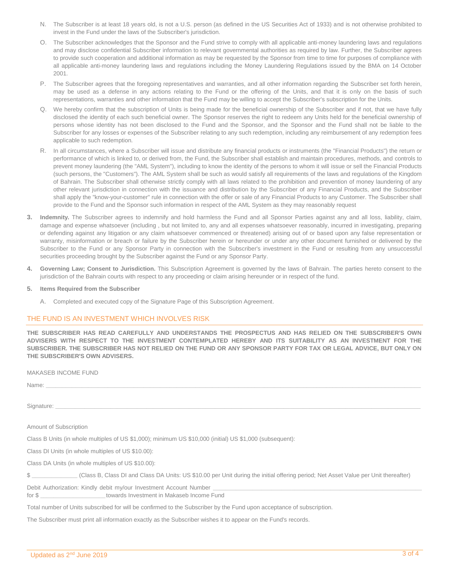- N. The Subscriber is at least 18 years old, is not a U.S. person (as defined in the US Securities Act of 1933) and is not otherwise prohibited to invest in the Fund under the laws of the Subscriber's jurisdiction.
- O. The Subscriber acknowledges that the Sponsor and the Fund strive to comply with all applicable anti-money laundering laws and regulations and may disclose confidential Subscriber information to relevant governmental authorities as required by law. Further, the Subscriber agrees to provide such cooperation and additional information as may be requested by the Sponsor from time to time for purposes of compliance with all applicable anti-money laundering laws and regulations including the Money Laundering Regulations issued by the BMA on 14 October 2001.
- P. The Subscriber agrees that the foregoing representatives and warranties, and all other information regarding the Subscriber set forth herein, may be used as a defense in any actions relating to the Fund or the offering of the Units, and that it is only on the basis of such representations, warranties and other information that the Fund may be willing to accept the Subscriber's subscription for the Units.
- Q. We hereby confirm that the subscription of Units is being made for the beneficial ownership of the Subscriber and if not, that we have fully disclosed the identity of each such beneficial owner. The Sponsor reserves the right to redeem any Units held for the beneficial ownership of persons whose identity has not been disclosed to the Fund and the Sponsor, and the Sponsor and the Fund shall not be liable to the Subscriber for any losses or expenses of the Subscriber relating to any such redemption, including any reimbursement of any redemption fees applicable to such redemption.
- R. In all circumstances, where a Subscriber will issue and distribute any financial products or instruments (the "Financial Products") the return or performance of which is linked to, or derived from, the Fund, the Subscriber shall establish and maintain procedures, methods, and controls to prevent money laundering (the "AML System"), including to know the identity of the persons to whom it will issue or sell the Financial Products (such persons, the "Customers"). The AML System shall be such as would satisfy all requirements of the laws and regulations of the Kingdom of Bahrain. The Subscriber shall otherwise strictly comply with all laws related to the prohibition and prevention of money laundering of any other relevant jurisdiction in connection with the issuance and distribution by the Subscriber of any Financial Products, and the Subscriber shall apply the "know-your-customer" rule in connection with the offer or sale of any Financial Products to any Customer. The Subscriber shall provide to the Fund and the Sponsor such information in respect of the AML System as they may reasonably request
- **3. Indemnity.** The Subscriber agrees to indemnify and hold harmless the Fund and all Sponsor Parties against any and all loss, liability, claim, damage and expense whatsoever (including , but not limited to, any and all expenses whatsoever reasonably, incurred in investigating, preparing or defending against any litigation or any claim whatsoever commenced or threatened) arising out of or based upon any false representation or warranty, misinformation or breach or failure by the Subscriber herein or hereunder or under any other document furnished or delivered by the Subscriber to the Fund or any Sponsor Party in connection with the Subscriber's investment in the Fund or resulting from any unsuccessful securities proceeding brought by the Subscriber against the Fund or any Sponsor Party.
- Governing Law; Consent to Jurisdiction. This Subscription Agreement is governed by the laws of Bahrain. The parties hereto consent to the jurisdiction of the Bahrain courts with respect to any proceeding or claim arising hereunder or in respect of the fund.
- **5. Items Required from the Subscriber**
	- A. Completed and executed copy of the Signature Page of this Subscription Agreement.

### THE FUND IS AN INVESTMENT WHICH INVOLVES RISK

**THE SUBSCRIBER HAS READ CAREFULLY AND UNDERSTANDS THE PROSPECTUS AND HAS RELIED ON THE SUBSCRIBER'S OWN ADVISERS WITH RESPECT TO THE INVESTMENT CONTEMPLATED HEREBY AND ITS SUITABILITY AS AN INVESTMENT FOR THE SUBSCRIBER. THE SUBSCRIBER HAS NOT RELIED ON THE FUND OR ANY SPONSOR PARTY FOR TAX OR LEGAL ADVICE, BUT ONLY ON THE SUBSCRIBER'S OWN ADVISERS.**

| <b>MAKASEB INCOME FUND</b>                                                                                                                    |
|-----------------------------------------------------------------------------------------------------------------------------------------------|
|                                                                                                                                               |
|                                                                                                                                               |
| Amount of Subscription                                                                                                                        |
| Class B Units (in whole multiples of US \$1,000); minimum US \$10,000 (initial) US \$1,000 (subsequent):                                      |
| Class DI Units (in whole multiples of US \$10.00):                                                                                            |
| Class DA Units (in whole multiples of US \$10.00):                                                                                            |
| (Class B, Class DI and Class DA Units: US \$10.00 per Unit during the initial offering period; Net Asset Value per Unit thereafter)           |
| Debit Authorization: Kindly debit my/our Investment Account Number<br>for \$ _______________________towards Investment in Makaseb Income Fund |

Total number of Units subscribed for will be confirmed to the Subscriber by the Fund upon acceptance of subscription.

The Subscriber must print all information exactly as the Subscriber wishes it to appear on the Fund's records.